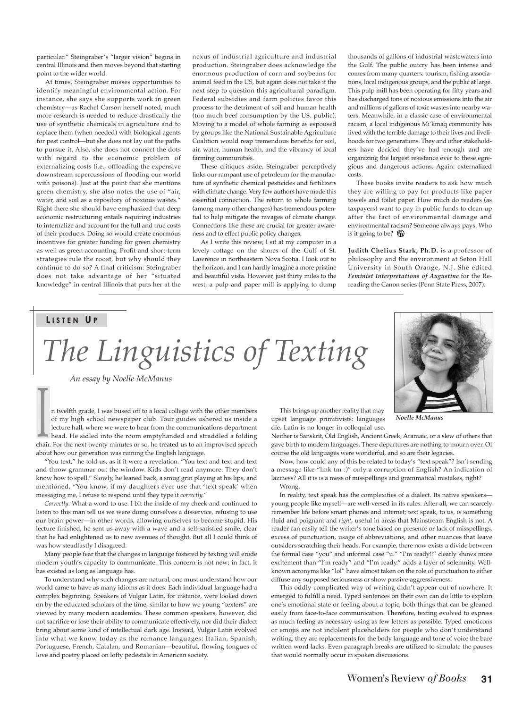particular." Steingraber's "larger vision" begins in central Illinois and then moves beyond that starting point to the wider world.

At times, Steingraber misses opportunities to identify meaningful environmental action. For instance, she says she supports work in green chemistry—as Rachel Carson herself noted, much more research is needed to reduce drastically the use of synthetic chemicals in agriculture and to replace them (when needed) with biological agents for pest control—but she does not lay out the paths to pursue it. Also, she does not connect the dots with regard to the economic problem of externalizing costs (i.e., offloading the expensive downstream repercussions of flooding our world with poisons). Just at the point that she mentions green chemistry, she also notes the use of "air, water, and soil as a repository of noxious wastes." Right there she should have emphasized that deep economic restructuring entails requiring industries to internalize and account for the full and true costs of their products. Doing so would create enormous incentives for greater funding for green chemistry as well as green accounting. Profit and short-term strategies rule the roost, but why should they continue to do so? A final criticism: Steingraber does not take advantage of her "situated knowledge" in central Illinois that puts her at the nexus of industrial agriculture and industrial production. Steingraber does acknowledge the enormous production of corn and soybeans for animal feed in the US, but again does not take it the next step to question this agricultural paradigm. Federal subsidies and farm policies favor this process to the detriment of soil and human health (too much beef consumption by the US. public). Moving to a model of whole farming as espoused by groups like the National Sustainable Agriculture Coalition would reap tremendous benefits for soil, air, water, human health, and the vibrancy of local farming communities.

These critiques aside, Steingraber perceptively links our rampant use of petroleum for the manufacture of synthetic chemical pesticides and fertilizers with climate change. Very few authors have made this essential connection. The return to whole farming (among many other changes) has tremendous potential to help mitigate the ravages of climate change. Connections like these are crucial for greater awareness and to effect public policy changes.

As I write this review, I sit at my computer in a lovely cottage on the shores of the Gulf of St. Lawrence in northeastern Nova Scotia. I look out to the horizon, and I can hardly imagine a more pristine and beautiful vista. However, just thirty miles to the west, a pulp and paper mill is applying to dump

thousands of gallons of industrial wastewaters into the Gulf. The public outcry has been intense and comes from many quarters: tourism, fishing associations, local indigenous groups, and the public at large. This pulp mill has been operating for fifty years and has discharged tons of noxious emissions into the air and millions of gallons of toxic wastes into nearby waters. Meanwhile, in a classic case of environmental racism, a local indigenous Mi'kmaq community has lived with the terrible damage to their lives and livelihoods for two generations. They and other stakeholders have decided they've had enough and are organizing the largest resistance ever to these egregious and dangerous actions. Again: externalized costs.

These books invite readers to ask how much they are willing to pay for products like paper towels and toilet paper. How much do readers (as taxpayers) want to pay in public funds to clean up after the fact of environmental damage and environmental racism? Someone always pays. Who is it going to be?  $\circledR$ 

**Judith Chelius Stark, Ph.D.** is a professor of philosophy and the environment at Seton Hall University in South Orange, N.J. She edited *Feminist Interpretations of Augustine* for the Rereading the Canon series (Penn State Press, 2007).

## **L I S T E N U P**

*The Linguistics of Texting*

*An essay by Noelle McManus*

n twelfth grade, I was bused off to a local college with the other members of my high school newspaper club. Tour guides ushered us inside a lecture hall, where we were to hear from the communications department head. He sidled into the room emptyhanded and straddled a folding chair. For the next twenty minutes or so, he treated us to an improvised speech about how our generation was ruining the English language. I I I I Is brings up another reality that may<br>of my high school newspaper club. Tour guides ushered us inside a<br>lecture hall, where we were to hear from the communications department<br>head. He sidled into the room emptyhand

"You text," he told us, as if it were a revelation. "You text and text and text and throw grammar out the window. Kids don't read anymore. They don't know how to spell." Slowly, he leaned back, a smug grin playing at his lips, and mentioned, "You know, if my daughters ever use that 'text speak' when messaging me, I refuse to respond until they type it *correctly.*"

*Correctly*. What a word to use. I bit the inside of my cheek and continued to listen to this man tell us we were doing ourselves a disservice, refusing to use our brain power—in other words, allowing ourselves to become stupid. His lecture finished, he sent us away with a wave and a self-satisfied smile, clear that he had enlightened us to new avenues of thought. But all I could think of was how steadfastly I disagreed.

Many people fear that the changes in language fostered by texting will erode modern youth's capacity to communicate. This concern is not new; in fact, it has existed as long as language has.

To understand why such changes are natural, one must understand how our world came to have as many idioms as it does. Each individual language had a complex beginning. Speakers of Vulgar Latin, for instance, were looked down on by the educated scholars of the time, similar to how we young "texters" are viewed by many modern academics. These common speakers, however, did not sacrifice or lose their ability to communicate effectively, nor did their dialect bring about some kind of intellectual dark age. Instead, Vulgar Latin evolved into what we know today as the romance languages: Italian, Spanish, Portuguese, French, Catalan, and Romanian—beautiful, flowing tongues of love and poetry placed on lofty pedestals in American society.

This brings up another reality that may upset language primitivists: languages die. Latin is no longer in colloquial use.

Neither is Sanskrit, Old English, Ancient Greek, Aramaic, or a slew of others that gave birth to modern languages. These departures are nothing to mourn over. Of course the old languages were wonderful, and so are their legacies.

Now, how could any of this be related to today's "text speak"? Isn't sending a message like "lmk tm :)" only a corruption of English? An indication of laziness? All it is is a mess of misspellings and grammatical mistakes, right? Wrong.

In reality, text speak has the complexities of a dialect. Its native speakers young people like myself—are well-versed in its rules. After all, we can scarcely remember life before smart phones and internet; text speak, to us, is something fluid and poignant and *right*, useful in areas that Mainstream English is not. A reader can easily tell the writer's tone based on presence or lack of misspellings, excess of punctuation, usage of abbreviations, and other nuances that leave outsiders scratching their heads. For example, there now exists a divide between the formal case "you" and informal case "u." "I'm ready!!" clearly shows more excitement than "I'm ready" and "I'm ready." adds a layer of solemnity. Wellknown acronyms like "lol" have almost taken on the role of punctuation to either diffuse any supposed seriousness or show passive-aggressiveness.

This oddly complicated way of writing didn't appear out of nowhere. It emerged to fulfill a need. Typed sentences on their own can do little to explain one's emotional state or feeling about a topic, both things that can be gleaned easily from face-to-face communication. Therefore, texting evolved to express as much feeling as necessary using as few letters as possible. Typed emoticons or emojis are not indolent placeholders for people who don't understand writing; they are replacements for the body language and tone of voice the bare written word lacks. Even paragraph breaks are utilized to simulate the pauses that would normally occur in spoken discussions.